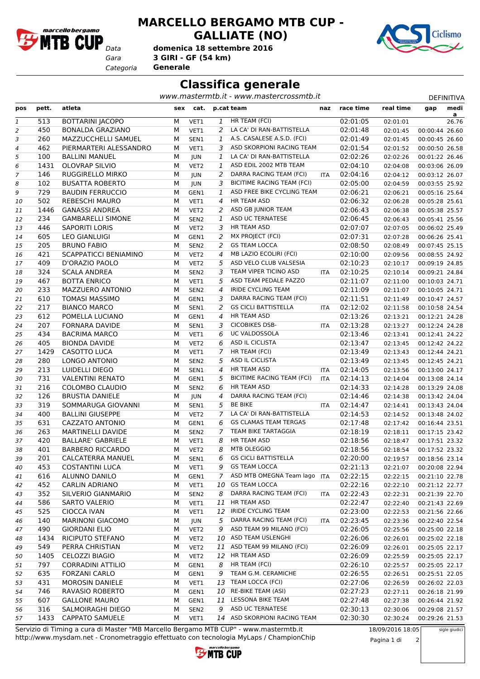

## **MARCELLO BERGAMO MTB CUP - GALLIATE (NO)**

*Gara* **3 GIRI - GF (54 km) domenica 18 settembre 2016**

*Categoria* **Generale**



## **Classifica generale**

www.mastermtb.it - www.mastercrossmtb.it

| pos            | pett. | atleta                       | sex | cat.             |                | p.cat team                        | naz        | race time | real time | gap            | medi               |
|----------------|-------|------------------------------|-----|------------------|----------------|-----------------------------------|------------|-----------|-----------|----------------|--------------------|
| 1              | 513   | <b>BOTTARINI JACOPO</b>      | М   | VET1             | 1              | HR TEAM (FCI)                     |            | 02:01:05  | 02:01:01  |                | <u>a </u><br>26.76 |
| 2              | 450   | <b>BONALDA GRAZIANO</b>      | M   | VET1             | 2              | LA CA' DI RAN-BATTISTELLA         |            | 02:01:48  | 02:01:45  | 00:00:44 26.60 |                    |
| 3              | 260   | MAZZUCCHELLI SAMUEL          | M   | SEN1             | 1              | A.S. CASALESE A.S.D. (FCI)        |            | 02:01:49  | 02:01:45  | 00:00:45 26.60 |                    |
| $\overline{4}$ | 462   | PIERMARTERI ALESSANDRO       | M   | VET1             | 3              | ASD SKORPIONI RACING TEAM         |            | 02:01:54  | 02:01:52  | 00:00:50 26.58 |                    |
| 5              | 100   | <b>BALLINI MANUEL</b>        | М   | JUN              | $\mathbf{1}$   | LA CA' DI RAN-BATTISTELLA         |            | 02:02:26  | 02:02:26  | 00:01:22 26.46 |                    |
| 6              | 1431  | <b>OLOVRAP SILVIO</b>        | M   | VET2             | 1              | ASD EDIL 2002 MTB TEAM            |            | 02:04:10  | 02:04:08  | 00:03:06 26.09 |                    |
| 7              | 146   | RUGGIRELLO MIRKO             | M   | <b>JUN</b>       | 2              | DARRA RACING TEAM (FCI)           | <b>ITA</b> | 02:04:16  | 02:04:12  | 00:03:12 26.07 |                    |
| 8              | 102   | <b>BUSATTA ROBERTO</b>       | M   | <b>JUN</b>       | 3              | <b>BICITIME RACING TEAM (FCI)</b> |            | 02:05:00  | 02:04:59  | 00:03:55 25.92 |                    |
| 9              | 729   | <b>BAUDIN FERRUCCIO</b>      | M   | GEN1             | 1              | ASD FREE BIKE CYCLING TEAM        |            | 02:06:21  | 02:06:21  | 00:05:16 25.64 |                    |
| 10             | 502   | <b>REBESCHI MAURO</b>        | М   | VET1             | $\overline{4}$ | <b>HR TEAM ASD</b>                |            | 02:06:32  | 02:06:28  | 00:05:28 25.61 |                    |
| 11             | 1446  | <b>GANASSI ANDREA</b>        | М   | VET <sub>2</sub> | 2              | ASD GB JUNIOR TEAM                |            | 02:06:43  | 02:06:38  | 00:05:38 25.57 |                    |
| 12             | 234   | <b>GAMBARELLI SIMONE</b>     | M   | SEN <sub>2</sub> | 1              | ASD UC TERNATESE                  |            | 02:06:45  | 02:06:43  | 00:05:41 25.56 |                    |
| 13             | 446   | <b>SAPORITI LORIS</b>        | M   | VET <sub>2</sub> | 3              | HR TEAM ASD                       |            | 02:07:07  | 02:07:05  | 00:06:02 25.49 |                    |
| 14             | 605   | <b>LEO GIANLUIGI</b>         | M   | GEN1             | 2              | MX PROJECT (FCI)                  |            | 02:07:31  | 02:07:28  | 00:06:26 25.41 |                    |
| 15             | 205   | <b>BRUNO FABIO</b>           | M   | SEN <sub>2</sub> | 2              | <b>GS TEAM LOCCA</b>              |            | 02:08:50  | 02:08:49  | 00:07:45 25.15 |                    |
| 16             | 421   | <b>SCAPPATICCI BENIAMINO</b> | M   | VET2             | 4              | <b>MB LAZIO ECOLIRI (FCI)</b>     |            | 02:10:00  | 02:09:56  | 00:08:55 24.92 |                    |
| 17             | 409   | D'ORAZIO PAOLO               | М   | VET <sub>2</sub> | 5              | ASD VELO CLUB VALSESIA            |            | 02:10:23  | 02:10:17  | 00:09:19 24.85 |                    |
| 18             | 324   | <b>SCALA ANDREA</b>          | M   | SEN <sub>2</sub> | 3              | TEAM VIPER TICINO ASD             | ITA        | 02:10:25  | 02:10:14  | 00:09:21 24.84 |                    |
| 19             | 467   | <b>BOTTA ENRICO</b>          | M   | VET1             | 5              | ASD TEAM PEDALE PAZZO             |            | 02:11:07  | 02:11:00  | 00:10:03 24.71 |                    |
| 20             | 233   | MAZZUERO ANTONIO             | M   | SEN <sub>2</sub> | 4              | <b>IRIDE CYCLING TEAM</b>         |            | 02:11:09  | 02:11:07  | 00:10:05 24.71 |                    |
| 21             | 610   | <b>TOMASI MASSIMO</b>        | M   | GEN1             | 3              | DARRA RACING TEAM (FCI)           |            | 02:11:51  | 02:11:49  | 00:10:47 24.57 |                    |
| 22             | 217   | <b>BIANCO MARCO</b>          | М   | SEN1             | $\overline{2}$ | <b>GS CICLI BATTISTELLA</b>       | <b>ITA</b> | 02:12:02  | 02:11:58  | 00:10:58 24.54 |                    |
| 23             | 612   | POMELLA LUCIANO              | М   | GEN1             | 4              | HR TEAM ASD                       |            | 02:13:26  | 02:13:21  | 00:12:21 24.28 |                    |
| 24             | 207   | <b>FORNARA DAVIDE</b>        | M   | SEN1             | 3              | <b>CICOBIKES DSB-</b>             | ITA        | 02:13:28  | 02:13:27  | 00:12:24 24.28 |                    |
| 25             | 434   | <b>BACRIMA MARCO</b>         | M   | VET1             | 6              | UC VALDOSSOLA                     |            | 02:13:46  | 02:13:41  | 00:12:41 24.22 |                    |
| 26             | 405   | <b>BIONDA DAVIDE</b>         | M   | VET <sub>2</sub> | 6              | ASD IL CICLISTA                   |            | 02:13:47  | 02:13:45  | 00:12:42 24.22 |                    |
| 27             | 1429  | CASOTTO LUCA                 | M   | VET1             | 7              | HR TEAM (FCI)                     |            | 02:13:49  | 02:13:43  | 00:12:44 24.21 |                    |
| 28             | 280   | LONGO ANTONIO                | M   | SEN <sub>2</sub> | 5              | ASD IL CICLISTA                   |            | 02:13:49  | 02:13:45  | 00:12:45 24.21 |                    |
| 29             | 213   | LUIDELLI DIEGO               | M   | SEN1             | 4              | HR TEAM ASD                       | ITA        | 02:14:05  | 02:13:56  | 00:13:00 24.17 |                    |
| 30             | 731   | <b>VALENTINI RENATO</b>      | M   | GEN1             | 5              | <b>BICITIME RACING TEAM (FCI)</b> | <b>ITA</b> | 02:14:13  | 02:14:04  | 00:13:08 24.14 |                    |
| 31             | 216   | COLOMBO CLAUDIO              | M   | SEN <sub>2</sub> | 6              | HR TEAM ASD                       |            | 02:14:33  | 02:14:28  | 00:13:29 24.08 |                    |
| 32             | 126   | <b>BRUSTIA DANIELE</b>       | M   | JUN              | 4              | DARRA RACING TEAM (FCI)           |            | 02:14:46  | 02:14:38  | 00:13:42 24.04 |                    |
| 33             | 319   | SOMMARUGA GIOVANNI           | М   | SEN1             | 5              | <b>BE BIKE</b>                    | <b>ITA</b> | 02:14:47  | 02:14:41  | 00:13:43 24.04 |                    |
| 34             | 400   | <b>BALLINI GIUSEPPE</b>      | M   | VET <sub>2</sub> |                | 7 LA CA' DI RAN-BATTISTELLA       |            | 02:14:53  | 02:14:52  | 00:13:48 24.02 |                    |
| 35             | 631   | CAZZATO ANTONIO              | М   | GEN1             | 6              | <b>GS CLAMAS TEAM TERGAS</b>      |            | 02:17:48  | 02:17:42  | 00:16:44 23.51 |                    |
| 36             | 263   | <b>MARTINELLI DAVIDE</b>     | M   | SEN <sub>2</sub> | 7              | TEAM BIKE TARTAGGIA               |            | 02:18:19  | 02:18:11  | 00:17:15 23.42 |                    |
| 37             | 420   | <b>BALLARE' GABRIELE</b>     | M   | VET1             | 8              | HR TEAM ASD                       |            | 02:18:56  | 02:18:47  | 00:17:51 23.32 |                    |
| 38             | 401   | <b>BARBERO RICCARDO</b>      | М   | VET <sub>2</sub> | 8              | MTB OLEGGIO                       |            | 02:18:56  | 02:18:54  | 00:17:52 23.32 |                    |
| 39             | 201   | <b>CALCATERRA MANUEL</b>     | м   | SEN1             | 6              | <b>GS CICLI BATTISTELLA</b>       |            | 02:20:00  | 02:19:57  | 00:18:56 23.14 |                    |
| 40             | 453   | <b>COSTANTINI LUCA</b>       | М   | VET1             |                | 9 GS TEAM LOCCA                   |            | 02:21:13  | 02:21:07  | 00:20:08 22.94 |                    |
| 41             | 616   | ALUNNO DANILO                | М   | GEN1             | $\overline{7}$ | ASD MTB OMEGNA Team lago          | <b>ITA</b> | 02:22:15  | 02:22:15  | 00:21:10 22.78 |                    |
| 42             | 452   | <b>CARLIN ADRIANO</b>        | М   | VET1             | 10             | <b>GS TEAM LOCCA</b>              |            | 02:22:16  | 02:22:10  | 00:21:12 22.77 |                    |
| 43             | 352   | SILVERIO GIANMARIO           | М   | SEN <sub>2</sub> | 8              | DARRA RACING TEAM (FCI)           | <b>ITA</b> | 02:22:43  | 02:22:31  | 00:21:39 22.70 |                    |
| 44             | 586   | SARTO VALERIO                | М   | VET1             | 11             | HR TEAM ASD                       |            | 02:22:47  | 02:22:40  | 00:21:43 22.69 |                    |
| 45             | 525   | CIOCCA IVAN                  | М   | VET1             | 12             | <b>IRIDE CYCLING TEAM</b>         |            | 02:23:00  | 02:22:53  | 00:21:56 22.66 |                    |
| 46             | 140   | <b>MARINONI GIACOMO</b>      | М   | JUN              | 5              | DARRA RACING TEAM (FCI)           | <b>ITA</b> | 02:23:45  | 02:23:36  | 00:22:40 22.54 |                    |
| 47             | 490   | <b>GIORDANI ELIO</b>         | М   | VET <sub>2</sub> | 9              | ASD TEAM 99 MILANO (FCI)          |            | 02:26:05  | 02:25:56  | 00:25:00 22.18 |                    |
| 48             | 1434  | RICIPUTO STEFANO             | М   | VET <sub>2</sub> | 10             | ASD TEAM USLENGHI                 |            | 02:26:06  | 02:26:01  | 00:25:02 22.18 |                    |
| 49             | 549   | PERRA CHRISTIAN              | М   | VET <sub>2</sub> | 11             | ASD TEAM 99 MILANO (FCI)          |            | 02:26:09  | 02:26:01  | 00:25:05 22.17 |                    |
| 50             | 1405  | <b>CELOZZI BIAGIO</b>        | М   | VET <sub>2</sub> |                | 12 HR TEAM ASD                    |            | 02:26:09  | 02:25:59  | 00:25:05 22.17 |                    |
| 51             | 797   | CORRADINI ATTILIO            | М   | GEN1             | 8              | HR TEAM (FCI)                     |            | 02:26:10  | 02:25:57  | 00:25:05 22.17 |                    |
| 52             | 635   | <b>FORZANI CARLO</b>         | М   | GEN1             | 9              | TEAM G.M. CERAMICHE               |            | 02:26:55  | 02:26:51  | 00:25:51 22.05 |                    |
| 53             | 431   | <b>MOROSIN DANIELE</b>       | м   | VET1             | 13             | TEAM LOCCA (FCI)                  |            | 02:27:06  | 02:26:59  | 00:26:02 22.03 |                    |
| 54             | 746   | RAVASIO ROBERTO              | М   | GEN1             | 10             | RE-BIKE TEAM (ASI)                |            | 02:27:23  | 02:27:11  | 00:26:18 21.99 |                    |
| 55             | 607   | <b>GALLONE MAURO</b>         | М   | GEN1             | 11             | LESSONA BIKE TEAM                 |            | 02:27:48  | 02:27:38  | 00:26:44 21.92 |                    |
| 56             | 316   | SALMOIRAGHI DIEGO            | М   | SEN <sub>2</sub> | 9              | ASD UC TERNATESE                  |            | 02:30:13  | 02:30:06  | 00:29:08 21.57 |                    |
| 57             | 1433  | <b>CAPPATO SAMUELE</b>       | М   | VET1             |                | 14 ASD SKORPIONI RACING TEAM      |            | 02:30:30  | 02:30:24  | 00:29:26 21.53 |                    |
|                |       |                              |     |                  |                |                                   |            |           |           |                |                    |

http://www.mysdam.net - Cronometraggio effettuato con tecnologia MyLaps / ChampionChip Servizio di Timing a cura di Master "MB Marcello Bergamo MTB CUP" - www.mastermtb.it 18/09/2016 18:05

Pagina 1 di 2

**MTB CUP** 

sigle giudici